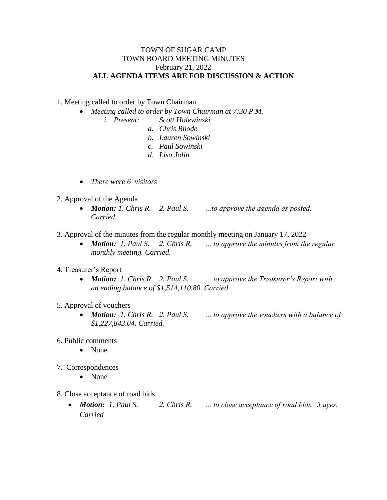## TOWN OF SUGAR CAMP TOWN BOARD MEETING MINUTES February 21, 2022 **ALL AGENDA ITEMS ARE FOR DISCUSSION & ACTION**

1. Meeting called to order by Town Chairman

- *Meeting called to order by Town Chairman at 7:30 P.M.*
	- *i. Present: Scott Holewinski*
		- *a. Chris Rhode*
		- *b. Lauren Sowinski*
		- *c. Paul Sowinski*
		- *d. Lisa Jolin*
- *There were 6 visitors*
- 2. Approval of the Agenda
	- *Motion: 1. Chris R. 2. Paul S. …to approve the agenda as posted. Carried.*
- 3. Approval of the minutes from the regular monthly meeting on January 17, 2022
	- *Motion: 1. Paul S. 2. Chris R. … to approve the minutes from the regular monthly meeting. Carried.*
- 4. Treasurer's Report
	- *Motion: 1. Chris R. 2. Paul S. … to approve the Treasurer's Report with an ending balance of \$1,514,110.80. Carried.*
- 5. Approval of vouchers
	- *Motion: 1. Chris R. 2. Paul S. … to approve the vouchers with a balance of \$1,227,843.04. Carried.*
- 6. Public comments
	- None
- 7. Correspondences
	- None
- 8. Close acceptance of road bids
	- *Motion: 1. Paul S. 2. Chris R. … to close acceptance of road bids. 3 ayes. Carried*